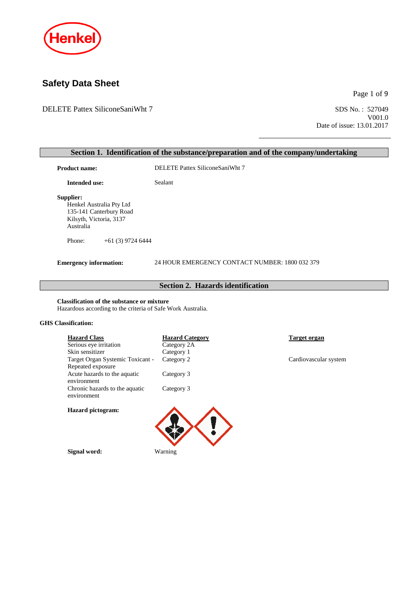

# **Safety Data Sheet**

DELETE Pattex SiliconeSaniWht 7 SDS No.: 527049

Page 1 of 9

V001.0 Date of issue: 13.01.2017

|                                                                                                                                          |                                                | Section 1. Identification of the substance/preparation and of the company/undertaking |  |
|------------------------------------------------------------------------------------------------------------------------------------------|------------------------------------------------|---------------------------------------------------------------------------------------|--|
| <b>Product name:</b>                                                                                                                     | DELETE Pattex SiliconeSaniWht 7                |                                                                                       |  |
| <b>Intended use:</b>                                                                                                                     | Sealant                                        |                                                                                       |  |
| Supplier:<br>Henkel Australia Pty Ltd<br>135-141 Canterbury Road<br>Kilsyth, Victoria, 3137<br>Australia<br>Phone:<br>$+61(3)$ 9724 6444 |                                                |                                                                                       |  |
|                                                                                                                                          |                                                |                                                                                       |  |
| <b>Emergency information:</b>                                                                                                            | 24 HOUR EMERGENCY CONTACT NUMBER: 1800 032 379 |                                                                                       |  |
|                                                                                                                                          | <b>Section 2. Hazards identification</b>       |                                                                                       |  |
| <b>Classification of the substance or mixture</b><br>Hazardous according to the criteria of Safe Work Australia.                         |                                                |                                                                                       |  |
| <b>GHS</b> Classification:                                                                                                               |                                                |                                                                                       |  |
| <b>Hazard Class</b><br>Serious eye irritation                                                                                            | <b>Hazard Category</b><br>Category 2A          | <b>Target organ</b>                                                                   |  |
| Skin sensitizer                                                                                                                          | Category 1                                     |                                                                                       |  |



Category 3

Category 3

**Signal word:** Warning

Repeated exposure

**Hazard pictogram:**

environment

environment

Acute hazards to the aquatic

Chronic hazards to the aquatic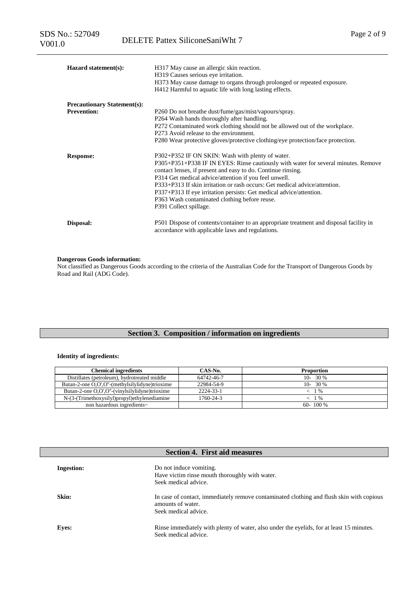| Hazard statement(s):               | H317 May cause an allergic skin reaction.<br>H319 Causes serious eye irritation.<br>H373 May cause damage to organs through prolonged or repeated exposure.<br>H412 Harmful to aquatic life with long lasting effects.                                                                                                                                                                                                                                                                          |
|------------------------------------|-------------------------------------------------------------------------------------------------------------------------------------------------------------------------------------------------------------------------------------------------------------------------------------------------------------------------------------------------------------------------------------------------------------------------------------------------------------------------------------------------|
| <b>Precautionary Statement(s):</b> |                                                                                                                                                                                                                                                                                                                                                                                                                                                                                                 |
| <b>Prevention:</b>                 | P260 Do not breathe dust/fume/gas/mist/vapours/spray.<br>P264 Wash hands thoroughly after handling.<br>P272 Contaminated work clothing should not be allowed out of the workplace.<br>P273 Avoid release to the environment.<br>P280 Wear protective gloves/protective clothing/eye protection/face protection.                                                                                                                                                                                 |
| <b>Response:</b>                   | P302+P352 IF ON SKIN: Wash with plenty of water.<br>P305+P351+P338 IF IN EYES: Rinse cautiously with water for several minutes. Remove<br>contact lenses, if present and easy to do. Continue rinsing.<br>P314 Get medical advice/attention if you feel unwell.<br>P333+P313 If skin irritation or rash occurs: Get medical advice/attention.<br>P337+P313 If eye irritation persists: Get medical advice/attention.<br>P363 Wash contaminated clothing before reuse.<br>P391 Collect spillage. |
| Disposal:                          | P501 Dispose of contents/container to an appropriate treatment and disposal facility in<br>accordance with applicable laws and regulations.                                                                                                                                                                                                                                                                                                                                                     |

#### **Dangerous Goods information:**

Not classified as Dangerous Goods according to the criteria of the Australian Code for the Transport of Dangerous Goods by Road and Rail (ADG Code).

# **Section 3. Composition / information on ingredients**

#### **Identity of ingredients:**

| <b>Chemical ingredients</b>                     | CAS-No.    | <b>Proportion</b> |
|-------------------------------------------------|------------|-------------------|
| Distillates (petroleum), hydrotreated middle    | 64742-46-7 | $10-30\%$         |
| Butan-2-one O,O',O''-(methylsilylidyne)trioxime | 22984-54-9 | $10-30\%$         |
| Butan-2-one O,O',O''-(vinylsilylidyne)trioxime  | 2224-33-1  | $< 1\%$           |
| N-(3-(Trimethoxysilyl)propyl)ethylenediamine    | 1760-24-3  | $\leq$ 1 %        |
| non hazardous ingredients~                      |            | $60 - 100\%$      |

| <b>Section 4. First aid measures</b> |                                                                                                                                       |  |
|--------------------------------------|---------------------------------------------------------------------------------------------------------------------------------------|--|
| <b>Ingestion:</b>                    | Do not induce vomiting.<br>Have victim rinse mouth thoroughly with water.<br>Seek medical advice.                                     |  |
| Skin:                                | In case of contact, immediately remove contaminated clothing and flush skin with copious<br>amounts of water.<br>Seek medical advice. |  |
| Eyes:                                | Rinse immediately with plenty of water, also under the eyelids, for at least 15 minutes.<br>Seek medical advice.                      |  |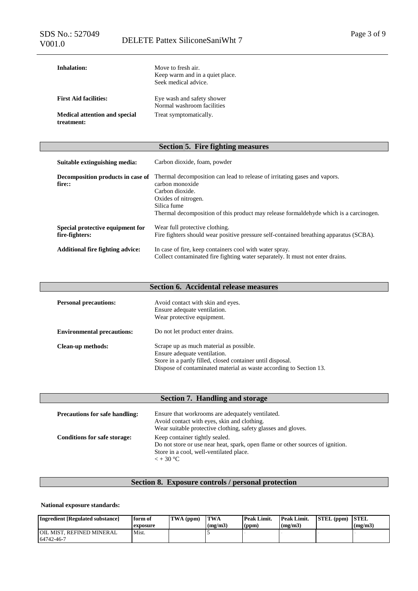| Inhalation:                                        | Move to fresh air.<br>Keep warm and in a quiet place.<br>Seek medical advice. |
|----------------------------------------------------|-------------------------------------------------------------------------------|
| <b>First Aid facilities:</b>                       | Eye wash and safety shower<br>Normal washroom facilities                      |
| <b>Medical attention and special</b><br>treatment: | Treat symptomatically.                                                        |

# **Section 5. Fire fighting measures**

| Suitable extinguishing media:                      | Carbon dioxide, foam, powder                                                                                                                                                                                                                   |
|----------------------------------------------------|------------------------------------------------------------------------------------------------------------------------------------------------------------------------------------------------------------------------------------------------|
| Decomposition products in case of<br>fire::        | Thermal decomposition can lead to release of irritating gases and vapors.<br>carbon monoxide<br>Carbon dioxide.<br>Oxides of nitrogen.<br>Silica fume<br>Thermal decomposition of this product may release formaldehyde which is a carcinogen. |
| Special protective equipment for<br>fire-fighters: | Wear full protective clothing.<br>Fire fighters should wear positive pressure self-contained breathing apparatus (SCBA).                                                                                                                       |
| <b>Additional fire fighting advice:</b>            | In case of fire, keep containers cool with water spray.<br>Collect contaminated fire fighting water separately. It must not enter drains.                                                                                                      |

# **Section 6. Accidental release measures**

| <b>Personal precautions:</b>      | Avoid contact with skin and eyes.<br>Ensure adequate ventilation.<br>Wear protective equipment.                                                                                                             |
|-----------------------------------|-------------------------------------------------------------------------------------------------------------------------------------------------------------------------------------------------------------|
| <b>Environmental precautions:</b> | Do not let product enter drains.                                                                                                                                                                            |
| Clean-up methods:                 | Scrape up as much material as possible.<br>Ensure adequate ventilation.<br>Store in a partly filled, closed container until disposal.<br>Dispose of contaminated material as waste according to Section 13. |

| Section 7. Handling and storage       |                                                                                                                                                                                   |  |
|---------------------------------------|-----------------------------------------------------------------------------------------------------------------------------------------------------------------------------------|--|
| <b>Precautions for safe handling:</b> | Ensure that workrooms are adequately ventilated.<br>Avoid contact with eyes, skin and clothing.<br>Wear suitable protective clothing, safety glasses and gloves.                  |  |
| <b>Conditions for safe storage:</b>   | Keep container tightly sealed.<br>Do not store or use near heat, spark, open flame or other sources of ignition.<br>Store in a cool, well-ventilated place.<br>$\epsilon$ + 30 °C |  |

# **Section 8. Exposure controls / personal protection**

# **National exposure standards:**

| Ingredient [Regulated substance]                | form of<br>exposure | TWA (ppm) | <b>TWA</b><br>(mg/m3) | <b>Peak Limit.</b><br>(ppm) | Peak Limit.<br>(mg/m3) | STEL (ppm) | <b>STEL</b><br>(mg/m3) |
|-------------------------------------------------|---------------------|-----------|-----------------------|-----------------------------|------------------------|------------|------------------------|
| <b>JOIL MIST. REFINED MINERAL</b><br>64742-46-7 | Mist.               |           |                       |                             |                        |            |                        |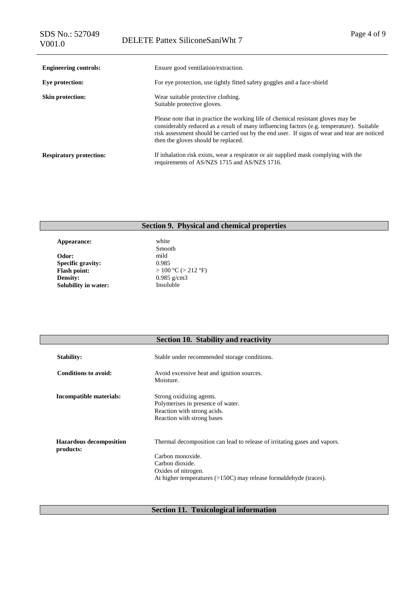| <b>Engineering controls:</b>   | Ensure good ventilation/extraction.                                                                                                                                                                                                                                                                                   |
|--------------------------------|-----------------------------------------------------------------------------------------------------------------------------------------------------------------------------------------------------------------------------------------------------------------------------------------------------------------------|
| Eye protection:                | For eye protection, use tightly fitted safety goggles and a face-shield                                                                                                                                                                                                                                               |
| <b>Skin protection:</b>        | Wear suitable protective clothing.<br>Suitable protective gloves.                                                                                                                                                                                                                                                     |
|                                | Please note that in practice the working life of chemical resistant gloves may be<br>considerably reduced as a result of many influencing factors (e.g. temperature). Suitable<br>risk assessment should be carried out by the end user. If signs of wear and tear are noticed<br>then the gloves should be replaced. |
| <b>Respiratory protection:</b> | If inhalation risk exists, wear a respirator or air supplied mask complying with the<br>requirements of AS/NZS 1715 and AS/NZS 1716.                                                                                                                                                                                  |

# **Section 9. Physical and chemical properties**

**Appearance:** white **Odor:** mild **Specific gravity:** 0.985 **Flash point:** > 100 °C (> 212 °F)<br>Density: 0.985 g/cm3 **Solubility in water:** 

Smooth 0.985 g/cm3<br>Insoluble

| Section 10. Stability and reactivity |
|--------------------------------------|
|--------------------------------------|

| <b>Stability:</b>                           | Stable under recommended storage conditions.                                                                                                                                                                   |
|---------------------------------------------|----------------------------------------------------------------------------------------------------------------------------------------------------------------------------------------------------------------|
| Conditions to avoid:                        | Avoid excessive heat and ignition sources.<br>Moisture.                                                                                                                                                        |
| Incompatible materials:                     | Strong oxidizing agents.<br>Polymerises in presence of water.<br>Reaction with strong acids.<br>Reaction with strong bases                                                                                     |
| <b>Hazardous decomposition</b><br>products: | Thermal decomposition can lead to release of irritating gases and vapors.<br>Carbon monoxide.<br>Carbon dioxide.<br>Oxides of nitrogen.<br>At higher temperatures $(>150C)$ may release formaldehyde (traces). |

# **Section 11. Toxicological information**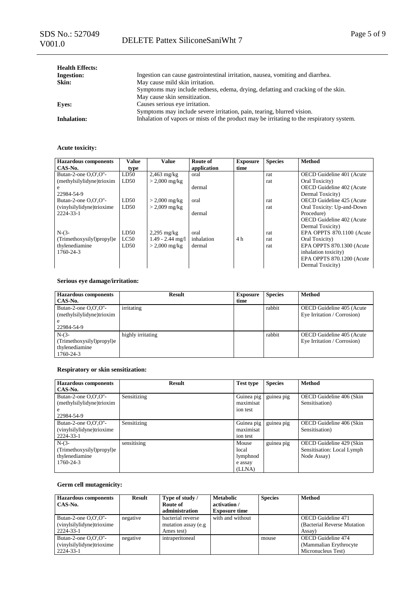| <b>Health Effects:</b> |                                                                                           |
|------------------------|-------------------------------------------------------------------------------------------|
| <b>Ingestion:</b>      | Ingestion can cause gastrointestinal irritation, nausea, vomiting and diarrhea.           |
| Skin:                  | May cause mild skin irritation.                                                           |
|                        | Symptoms may include redness, edema, drying, defatting and cracking of the skin.          |
|                        | May cause skin sensitization.                                                             |
| <b>Eves:</b>           | Causes serious eye irritation.                                                            |
|                        | Symptoms may include severe irritation, pain, tearing, blurred vision.                    |
| <b>Inhalation:</b>     | Inhalation of vapors or mists of the product may be irritating to the respiratory system. |

# **Acute toxicity:**

| <b>Hazardous components</b> | Value | Value                   | Route of    | <b>Exposure</b> | <b>Species</b> | Method                     |
|-----------------------------|-------|-------------------------|-------------|-----------------|----------------|----------------------------|
| CAS-No.                     | type  |                         | application | time            |                |                            |
| Butan-2-one O,O',O"-        | LD50  | $2,463$ mg/kg           | oral        |                 | rat            | OECD Guideline 401 (Acute  |
| (methylsilylidyne)trioxim   | LD50  | $> 2,000 \text{ mg/kg}$ |             |                 | rat            | Oral Toxicity)             |
|                             |       |                         | dermal      |                 |                | OECD Guideline 402 (Acute  |
| 22984-54-9                  |       |                         |             |                 |                | Dermal Toxicity)           |
| Butan-2-one $O.O'.O''-$     | LD50  | $> 2,000 \text{ mg/kg}$ | oral        |                 | rat            | OECD Guideline 425 (Acute  |
| (vinylsilylidyne)trioxime   | LD50  | $> 2,009$ mg/kg         |             |                 | rat            | Oral Toxicity: Up-and-Down |
| 2224-33-1                   |       |                         | dermal      |                 |                | Procedure)                 |
|                             |       |                         |             |                 |                | OECD Guideline 402 (Acute  |
|                             |       |                         |             |                 |                | Dermal Toxicity)           |
| $N-(3-$                     | LD50  | $2,295$ mg/kg           | oral        |                 | rat            | EPA OPPTS 870.1100 (Acute  |
| (Trimethoxysilyl)propyl)e   | LC50  | $1.49 - 2.44$ mg/l      | inhalation  | 4 h             | rat            | Oral Toxicity)             |
| thylenediamine              | LD50  | $> 2,000 \text{ mg/kg}$ | dermal      |                 | rat            | EPA OPPTS 870.1300 (Acute  |
| 1760-24-3                   |       |                         |             |                 |                | inhalation toxicity)       |
|                             |       |                         |             |                 |                | EPA OPPTS 870.1200 (Acute  |
|                             |       |                         |             |                 |                | Dermal Toxicity)           |

# **Serious eye damage/irritation:**

| <b>Hazardous components</b> | <b>Result</b>     | <b>Exposure</b> | <b>Species</b> | <b>Method</b>               |
|-----------------------------|-------------------|-----------------|----------------|-----------------------------|
| CAS-No.                     |                   | time            |                |                             |
| Butan-2-one $O.O'.O''-$     | irritating        |                 | rabbit         | OECD Guideline 405 (Acute   |
| (methylsilylidyne)trioxim   |                   |                 |                | Eye Irritation / Corrosion) |
| e                           |                   |                 |                |                             |
| 22984-54-9                  |                   |                 |                |                             |
| $N-(3-$                     | highly irritating |                 | rabbit         | OECD Guideline 405 (Acute   |
| (Trimethoxysilyl)propyl)e   |                   |                 |                | Eye Irritation / Corrosion) |
| thylenediamine              |                   |                 |                |                             |
| 1760-24-3                   |                   |                 |                |                             |

# **Respiratory or skin sensitization:**

| <b>Hazardous components</b> | <b>Result</b> | <b>Test type</b> | <b>Species</b> | Method                     |
|-----------------------------|---------------|------------------|----------------|----------------------------|
| CAS-No.                     |               |                  |                |                            |
| Butan-2-one O,O',O"-        | Sensitizing   | Guinea pig       | guinea pig     | OECD Guideline 406 (Skin   |
| (methylsilylidyne)trioxim   |               | maximisat        |                | Sensitisation)             |
| e                           |               | ion test         |                |                            |
| 22984-54-9                  |               |                  |                |                            |
| Butan-2-one O,O',O"-        | Sensitizing   | Guinea pig       | guinea pig     | OECD Guideline 406 (Skin   |
| (vinylsilylidyne)trioxime   |               | maximisat        |                | Sensitisation)             |
| 2224-33-1                   |               | ion test         |                |                            |
| $N-(3-$                     | sensitising   | Mouse            | guinea pig     | OECD Guideline 429 (Skin   |
| (Trimethoxysilyl)propyl)e   |               | local            |                | Sensitisation: Local Lymph |
| thylenediamine              |               | lymphnod         |                | Node Assay)                |
| 1760-24-3                   |               | e assay          |                |                            |
|                             |               | (LLNA)           |                |                            |

# **Germ cell mutagenicity:**

| <b>Hazardous</b> components<br>CAS-No.                            | <b>Result</b> | Type of study /<br>Route of<br>administration           | <b>Metabolic</b><br>activation /<br><b>Exposure time</b> | <b>Species</b> | <b>Method</b>                                                              |
|-------------------------------------------------------------------|---------------|---------------------------------------------------------|----------------------------------------------------------|----------------|----------------------------------------------------------------------------|
| Butan-2-one $O.O'.O''-$<br>(vinylsilylidyne)trioxime<br>2224-33-1 | negative      | bacterial reverse<br>mutation assay (e.g.<br>Ames test) | with and without                                         |                | <b>OECD</b> Guideline 471<br>(Bacterial Reverse Mutation)<br>Assay)        |
| Butan-2-one $O.O'.O''-$<br>(vinylsilylidyne)trioxime<br>2224-33-1 | negative      | intraperitoneal                                         |                                                          | mouse          | <b>OECD</b> Guideline 474<br>(Mammalian Erythrocyte)<br>Micronucleus Test) |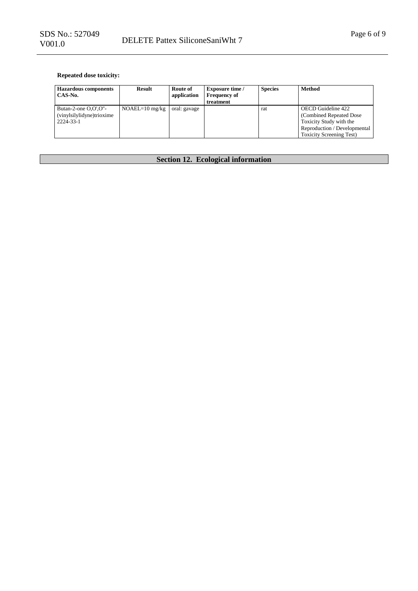# **Repeated dose toxicity:**

| <b>Hazardous components</b><br>CAS-No.                            | Result           | Route of<br>application | <b>Exposure time</b> /<br><b>Frequency of</b><br>treatment | <b>Species</b> | <b>Method</b>                                                                                                                                |
|-------------------------------------------------------------------|------------------|-------------------------|------------------------------------------------------------|----------------|----------------------------------------------------------------------------------------------------------------------------------------------|
| Butan-2-one $O.O'.O''-$<br>(vinylsilylidyne)trioxime<br>2224-33-1 | $NOAEL=10$ mg/kg | oral: gavage            |                                                            | rat            | OECD Guideline 422<br>(Combined Repeated Dose)<br>Toxicity Study with the<br>Reproduction / Developmental<br><b>Toxicity Screening Test)</b> |

# **Section 12. Ecological information**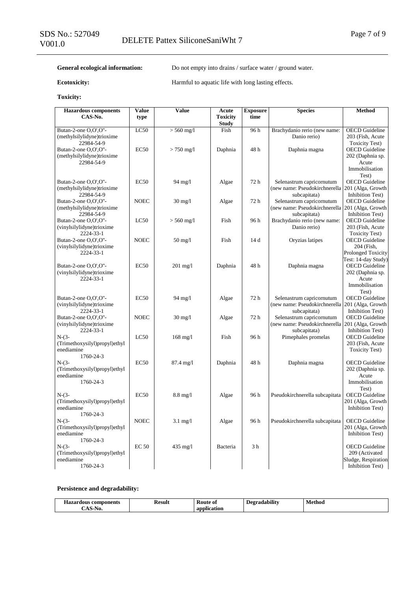General ecological information: Do not empty into drains / surface water / ground water.

Ecotoxicity: **Harmful to aquatic life with long lasting effects.** 

# **Toxicity:**

| <b>Hazardous components</b>                 | Value            | Value              | Acute                           | <b>Exposure</b> | <b>Species</b>                                    | Method                                       |
|---------------------------------------------|------------------|--------------------|---------------------------------|-----------------|---------------------------------------------------|----------------------------------------------|
| CAS-No.                                     | type             |                    | <b>Toxicity</b><br><b>Study</b> | time            |                                                   |                                              |
| Butan-2-one O,O',O"-                        | LC50             | $> 560$ mg/l       | Fish                            | 96h             | Brachydanio rerio (new name:                      | <b>OECD</b> Guideline                        |
| (methylsilylidyne)trioxime                  |                  |                    |                                 |                 | Danio rerio)                                      | 203 (Fish, Acute                             |
| 22984-54-9                                  |                  |                    |                                 |                 |                                                   | <b>Toxicity Test)</b>                        |
| Butan-2-one O,O',O"-                        | EC50             | $> 750$ mg/l       | Daphnia                         | 48h             | Daphnia magna                                     | <b>OECD</b> Guideline                        |
| (methylsilylidyne)trioxime                  |                  |                    |                                 |                 |                                                   | 202 (Daphnia sp.                             |
| 22984-54-9                                  |                  |                    |                                 |                 |                                                   | Acute                                        |
|                                             |                  |                    |                                 |                 |                                                   | Immobilisation<br>Test)                      |
| Butan-2-one O,O',O"-                        | EC50             | 94 mg/l            | Algae                           | 72 h            | Selenastrum capricornutum                         | <b>OECD</b> Guideline                        |
| (methylsilylidyne)trioxime                  |                  |                    |                                 |                 | (new name: Pseudokirchnerella 201 (Alga, Growth   |                                              |
| 22984-54-9                                  |                  |                    |                                 |                 | subcapitata)                                      | <b>Inhibition Test)</b>                      |
| Butan-2-one O,O',O"-                        | <b>NOEC</b>      | $30 \text{ mg}/1$  | Algae                           | 72 h            | Selenastrum capricornutum                         | <b>OECD</b> Guideline                        |
| (methylsilylidyne)trioxime                  |                  |                    |                                 |                 | (new name: Pseudokirchnerella 201 (Alga, Growth   |                                              |
| 22984-54-9                                  |                  |                    |                                 |                 | subcapitata)                                      | Inhibition Test)                             |
| Butan-2-one O,O',O"-                        | LC50             | $> 560$ mg/l       | Fish                            | 96 h            | Brachydanio rerio (new name:                      | <b>OECD</b> Guideline                        |
| (vinylsilylidyne)trioxime<br>2224-33-1      |                  |                    |                                 |                 | Danio rerio)                                      | 203 (Fish, Acute<br><b>Toxicity Test)</b>    |
| Butan-2-one O,O',O"-                        | <b>NOEC</b>      | $50 \text{ mg}/l$  | Fish                            | 14 d            | Oryzias latipes                                   | <b>OECD</b> Guideline                        |
| (vinylsilylidyne)trioxime                   |                  |                    |                                 |                 |                                                   | 204 (Fish,                                   |
| 2224-33-1                                   |                  |                    |                                 |                 |                                                   | <b>Prolonged Toxicity</b>                    |
|                                             |                  |                    |                                 |                 |                                                   | Test: 14-day Study)                          |
| Butan-2-one O,O',O"-                        | EC50             | $201$ mg/l         | Daphnia                         | 48h             | Daphnia magna                                     | <b>OECD</b> Guideline                        |
| (vinylsilylidyne)trioxime                   |                  |                    |                                 |                 |                                                   | 202 (Daphnia sp.                             |
| 2224-33-1                                   |                  |                    |                                 |                 |                                                   | Acute<br>Immobilisation                      |
|                                             |                  |                    |                                 |                 |                                                   | Test)                                        |
| Butan-2-one O,O',O"-                        | EC <sub>50</sub> | 94 mg/l            | Algae                           | 72h             | Selenastrum capricornutum                         | <b>OECD</b> Guideline                        |
| (vinylsilylidyne)trioxime                   |                  |                    |                                 |                 | (new name: Pseudokirchnerella   201 (Alga, Growth |                                              |
| 2224-33-1                                   |                  |                    |                                 |                 | subcapitata)                                      | Inhibition Test)                             |
| Butan-2-one O,O',O"-                        | <b>NOEC</b>      | $30 \text{ mg}/1$  | Algae                           | 72 h            | Selenastrum capricornutum                         | <b>OECD</b> Guideline                        |
| (vinylsilylidyne)trioxime<br>2224-33-1      |                  |                    |                                 |                 | (new name: Pseudokirchnerella 201 (Alga, Growth   | <b>Inhibition Test)</b>                      |
| $N-(3-$                                     | LC50             | $168$ mg/l         | Fish                            | 96 h            | subcapitata)<br>Pimephales promelas               | <b>OECD</b> Guideline                        |
| (Trimethoxysilyl)propyl)ethyl               |                  |                    |                                 |                 |                                                   | 203 (Fish, Acute                             |
| enediamine                                  |                  |                    |                                 |                 |                                                   | <b>Toxicity Test)</b>                        |
| 1760-24-3                                   |                  |                    |                                 |                 |                                                   |                                              |
| $N-(3-$                                     | EC50             | 87.4 mg/l          | Daphnia                         | 48h             | Daphnia magna                                     | <b>OECD</b> Guideline                        |
| (Trimethoxysilyl)propyl)ethyl               |                  |                    |                                 |                 |                                                   | 202 (Daphnia sp.                             |
| enediamine<br>1760-24-3                     |                  |                    |                                 |                 |                                                   | Acute<br>Immobilisation                      |
|                                             |                  |                    |                                 |                 |                                                   | Test)                                        |
| $N-(3-$                                     | EC50             | $8.8 \text{ mg}/l$ | Algae                           | 96 h            | Pseudokirchnerella subcapitata                    | <b>OECD</b> Guideline                        |
| (Trimethoxysilyl)propyl)ethyl               |                  |                    |                                 |                 |                                                   | 201 (Alga, Growth                            |
| enediamine                                  |                  |                    |                                 |                 |                                                   | Inhibition Test)                             |
| 1760-24-3                                   |                  |                    |                                 |                 |                                                   |                                              |
| $N-(3-$                                     | <b>NOEC</b>      | $3.1 \text{ mg}/1$ | Algae                           | 96 h            | Pseudokirchnerella subcapitata                    | <b>OECD</b> Guideline                        |
| (Trimethoxysilyl)propyl)ethyl<br>enediamine |                  |                    |                                 |                 |                                                   | 201 (Alga, Growth<br><b>Inhibition Test)</b> |
| 1760-24-3                                   |                  |                    |                                 |                 |                                                   |                                              |
| $N-(3-$                                     | <b>EC 50</b>     | 435 mg/l           | Bacteria                        | 3 <sub>h</sub>  |                                                   | <b>OECD</b> Guideline                        |
| (Trimethoxysilyl)propyl)ethyl               |                  |                    |                                 |                 |                                                   | 209 (Activated                               |
| enediamine                                  |                  |                    |                                 |                 |                                                   | Sludge, Respiration                          |
| 1760-24-3                                   |                  |                    |                                 |                 |                                                   | Inhibition Test)                             |

# **Persistence and degradability:**

| $-$<br>-----<br>nponents<br>Hazai<br>con<br>rdous | Kesult<br>------- | –<br>Koute<br>-01<br>__<br>. | $\cdots$<br>Degradabilit | Methoc<br>$\cdots$ |
|---------------------------------------------------|-------------------|------------------------------|--------------------------|--------------------|
| ъ.<br>NU.                                         |                   | ony<br>.<br>auon             |                          |                    |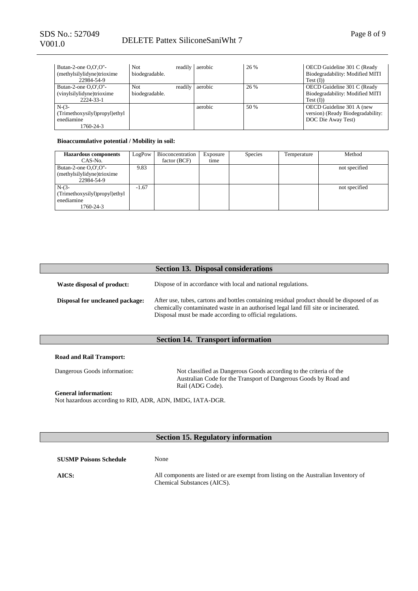| Butan-2-one $O.O'.O''-$<br>(methylsilylidyne)trioxime<br>22984-54-9 | Not.<br>biodegradable. | readily aerobic | 26 % | OECD Guideline 301 C (Ready<br>Biodegradability: Modified MITI<br>$Test$ (I))        |
|---------------------------------------------------------------------|------------------------|-----------------|------|--------------------------------------------------------------------------------------|
| Butan-2-one O,O',O"-<br>(vinylsilylidyne)trioxime<br>2224-33-1      | Not<br>biodegradable.  | readily aerobic | 26 % | OECD Guideline 301 C (Ready<br>Biodegradability: Modified MITI<br>$Test$ (I)         |
| $N-(3-$<br>(Trimethoxysilyl)propyl)ethyl<br>enediamine<br>1760-24-3 |                        | aerobic         | 50 % | OECD Guideline 301 A (new<br>version) (Ready Biodegradability:<br>DOC Die Away Test) |

#### **Bioaccumulative potential / Mobility in soil:**

| <b>Hazardous</b> components                                         | LogPow  | Bioconcentration | Exposure | <b>Species</b> | Temperature | Method        |
|---------------------------------------------------------------------|---------|------------------|----------|----------------|-------------|---------------|
| CAS-No.                                                             |         | factor (BCF)     | time     |                |             |               |
| Butan-2-one $O.O'.O''-$<br>(methylsilylidyne)trioxime<br>22984-54-9 | 9.83    |                  |          |                |             | not specified |
| $N-(3-$<br>(Trimethoxysilyl)propyl)ethyl<br>enediamine<br>1760-24-3 | $-1.67$ |                  |          |                |             | not specified |

|                                 | <b>Section 13. Disposal considerations</b>                                                                                                                                                                                                    |
|---------------------------------|-----------------------------------------------------------------------------------------------------------------------------------------------------------------------------------------------------------------------------------------------|
| Waste disposal of product:      | Dispose of in accordance with local and national regulations.                                                                                                                                                                                 |
| Disposal for uncleaned package: | After use, tubes, cartons and bottles containing residual product should be disposed of as<br>chemically contaminated waste in an authorised legal land fill site or incinerated.<br>Disposal must be made according to official regulations. |

# **Section 14. Transport information**

#### **Road and Rail Transport:**

Dangerous Goods information: Not classified as Dangerous Goods according to the criteria of the Australian Code for the Transport of Dangerous Goods by Road and Rail (ADG Code).

**General information:** Not hazardous according to RID, ADR, ADN, IMDG, IATA-DGR.

# **Section 15. Regulatory information**

| <b>SUSMP Poisons Schedule</b> | None                                                                                                               |
|-------------------------------|--------------------------------------------------------------------------------------------------------------------|
| AICS:                         | All components are listed or are exempt from listing on the Australian Inventory of<br>Chemical Substances (AICS). |